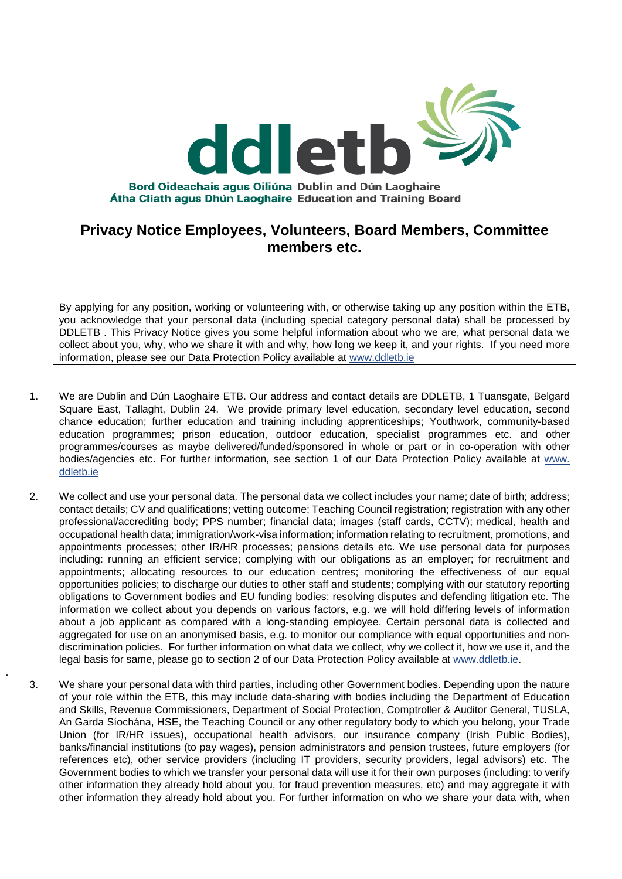

By applying for any position, working or volunteering with, or otherwise taking up any position within the ETB, you acknowledge that your personal data (including special category personal data) shall be processed by DDLETB . This Privacy Notice gives you some helpful information about who we are, what personal data we collect about you, why, who we share it with and why, how long we keep it, and your rights. If you need more information, please see our Data Protection Policy available at [www.ddletb.ie](http://www.xxxxetb.ie/)

- 1. We are Dublin and Dún Laoghaire ETB. Our address and contact details are DDLETB, 1 Tuansgate, Belgard Square East, Tallaght, Dublin 24. We provide primary level education, secondary level education, second chance education; further education and training including apprenticeships; Youthwork, community-based education programmes; prison education, outdoor education, specialist programmes etc. and other programmes/courses as maybe delivered/funded/sponsored in whole or part or in co-operation with other bodies/agencies etc. For further information, see section 1 of our Data Protection Policy available at [www.](http://www.xxxxxxx.ie/)  [ddletb.ie](http://www.xxxxxxx.ie/)
- 2. We collect and use your personal data. The personal data we collect includes your name; date of birth; address; contact details; CV and qualifications; vetting outcome; Teaching Council registration; registration with any other professional/accrediting body; PPS number; financial data; images (staff cards, CCTV); medical, health and occupational health data; immigration/work-visa information; information relating to recruitment, promotions, and appointments processes; other IR/HR processes; pensions details etc. We use personal data for purposes including: running an efficient service; complying with our obligations as an employer; for recruitment and appointments; allocating resources to our education centres; monitoring the effectiveness of our equal opportunities policies; to discharge our duties to other staff and students; complying with our statutory reporting obligations to Government bodies and EU funding bodies; resolving disputes and defending litigation etc. The information we collect about you depends on various factors, e.g. we will hold differing levels of information about a job applicant as compared with a long-standing employee. Certain personal data is collected and aggregated for use on an anonymised basis, e.g. to monitor our compliance with equal opportunities and nondiscrimination policies. For further information on what data we collect, why we collect it, how we use it, and the legal basis for same, please go to section 2 of our Data Protection Policy available at [www.ddletb.ie.](http://www.ddletb.ie/)
- 3. We share your personal data with third parties, including other Government bodies. Depending upon the nature of your role within the ETB, this may include data-sharing with bodies including the Department of Education and Skills, Revenue Commissioners, Department of Social Protection, Comptroller & Auditor General, TUSLA, An Garda Síochána, HSE, the Teaching Council or any other regulatory body to which you belong, your Trade Union (for IR/HR issues), occupational health advisors, our insurance company (Irish Public Bodies), banks/financial institutions (to pay wages), pension administrators and pension trustees, future employers (for references etc), other service providers (including IT providers, security providers, legal advisors) etc. The Government bodies to which we transfer your personal data will use it for their own purposes (including: to verify other information they already hold about you, for fraud prevention measures, etc) and may aggregate it with other information they already hold about you. For further information on who we share your data with, when

.